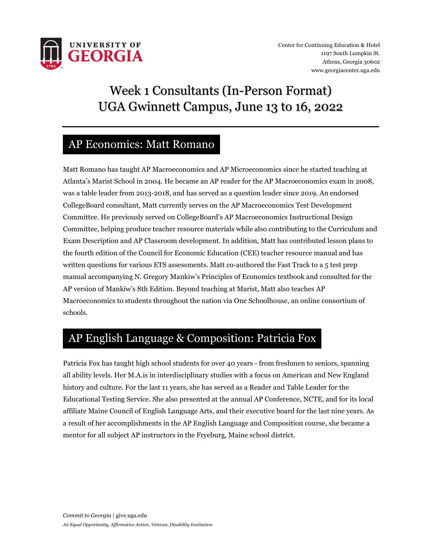

# Week 1 Consultants (In-Person Format) UGA Gwinnett Campus, June 13 to 16, 2022

#### AP Economics: Matt Romano

Matt Romano has taught AP Macroeconomics and AP Microeconomics since he started teaching at Atlanta's Marist School in 2004. He became an AP reader for the AP Macroeconomics exam in 2008, was a table leader from 2013-2018, and has served as a question leader since 2019. An endorsed CollegeBoard consultant, Matt currently serves on the AP Macroeconomics Test Development Committee. He previously served on CollegeBoard's AP Macroeconomics Instructional Design Committee, helping produce teacher resource materials while also contributing to the Curriculum and Exam Description and AP Classroom development. In addition, Matt has contributed lesson plans to the fourth edition of the Council for Economic Education (CEE) teacher resource manual and has written questions for various ETS assessments. Matt co-authored the Fast Track to a 5 test prep manual accompanying N. Gregory Mankiw's Principles of Economics textbook and consulted for the AP version of Mankiw's 8th Edition. Beyond teaching at Marist, Matt also teaches AP Macroeconomics to students throughout the nation via One Schoolhouse, an online consortium of schools.

### AP English Language & Composition: Patricia Fox

Patricia Fox has taught high school students for over 40 years - from freshmen to seniors, spanning all ability levels. Her M.A.is in interdisciplinary studies with a focus on American and New England history and culture. For the last 11 years, she has served as a Reader and Table Leader for the Educational Testing Service. She also presented at the annual AP Conference, NCTE, and for its local affiliate Maine Council of English Language Arts, and their executive board for the last nine years. As a result of her accomplishments in the AP English Language and Composition course, she became a mentor for all subject AP instructors in the Fryeburg, Maine school district.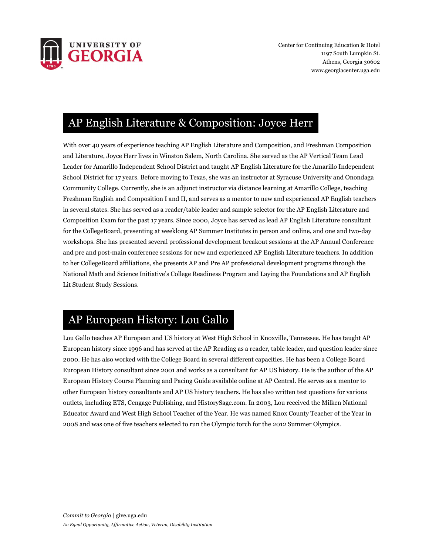

Center for Continuing Education & Hotel 1197 South Lumpkin St. Athens, Georgia 30602 www.georgiacenter.uga.edu

## AP English Literature & Composition: Joyce Herr

With over 40 years of experience teaching AP English Literature and Composition, and Freshman Composition and Literature, Joyce Herr lives in Winston Salem, North Carolina. She served as the AP Vertical Team Lead Leader for Amarillo Independent School District and taught AP English Literature for the Amarillo Independent School District for 17 years. Before moving to Texas, she was an instructor at Syracuse University and Onondaga Community College. Currently, she is an adjunct instructor via distance learning at Amarillo College, teaching Freshman English and Composition I and II, and serves as a mentor to new and experienced AP English teachers in several states. She has served as a reader/table leader and sample selector for the AP English Literature and Composition Exam for the past 17 years. Since 2000, Joyce has served as lead AP English Literature consultant for the CollegeBoard, presenting at weeklong AP Summer Institutes in person and online, and one and two-day workshops. She has presented several professional development breakout sessions at the AP Annual Conference and pre and post-main conference sessions for new and experienced AP English Literature teachers. In addition to her CollegeBoard affiliations, she presents AP and Pre AP professional development programs through the National Math and Science Initiative's College Readiness Program and Laying the Foundations and AP English Lit Student Study Sessions.

#### AP European History: Lou Gallo

Lou Gallo teaches AP European and US history at West High School in Knoxville, Tennessee. He has taught AP European history since 1996 and has served at the AP Reading as a reader, table leader, and question leader since 2000. He has also worked with the College Board in several different capacities. He has been a College Board European History consultant since 2001 and works as a consultant for AP US history. He is the author of the AP European History Course Planning and Pacing Guide available online at AP Central. He serves as a mentor to other European history consultants and AP US history teachers. He has also written test questions for various outlets, including ETS, Cengage Publishing, and HistorySage.com. In 2003, Lou received the Milken National Educator Award and West High School Teacher of the Year. He was named Knox County Teacher of the Year in 2008 and was one of five teachers selected to run the Olympic torch for the 2012 Summer Olympics.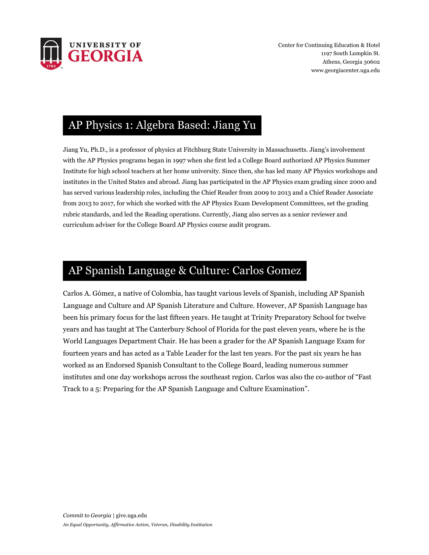

### AP Physics 1: Algebra Based: Jiang Yu

Jiang Yu, Ph.D., is a professor of physics at Fitchburg State University in Massachusetts. Jiang's involvement with the AP Physics programs began in 1997 when she first led a College Board authorized AP Physics Summer Institute for high school teachers at her home university. Since then, she has led many AP Physics workshops and institutes in the United States and abroad. Jiang has participated in the AP Physics exam grading since 2000 and has served various leadership roles, including the Chief Reader from 2009 to 2013 and a Chief Reader Associate from 2013 to 2017, for which she worked with the AP Physics Exam Development Committees, set the grading rubric standards, and led the Reading operations. Currently, Jiang also serves as a senior reviewer and curriculum adviser for the College Board AP Physics course audit program.

#### AP Spanish Language & Culture: Carlos Gomez

Carlos A. Gómez, a native of Colombia, has taught various levels of Spanish, including AP Spanish Language and Culture and AP Spanish Literature and Culture. However, AP Spanish Language has been his primary focus for the last fifteen years. He taught at Trinity Preparatory School for twelve years and has taught at The Canterbury School of Florida for the past eleven years, where he is the World Languages Department Chair. He has been a grader for the AP Spanish Language Exam for fourteen years and has acted as a Table Leader for the last ten years. For the past six years he has worked as an Endorsed Spanish Consultant to the College Board, leading numerous summer institutes and one day workshops across the southeast region. Carlos was also the co-author of "Fast Track to a 5: Preparing for the AP Spanish Language and Culture Examination".